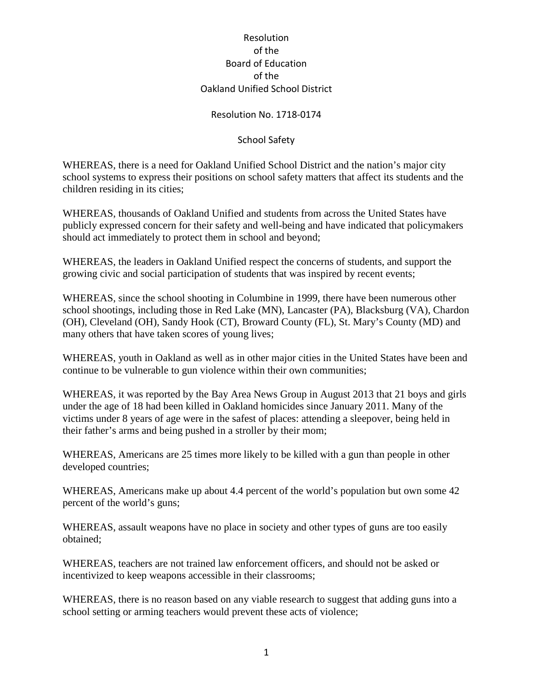## Resolution No. 1718-0174

## School Safety

WHEREAS, there is a need for Oakland Unified School District and the nation's major city school systems to express their positions on school safety matters that affect its students and the children residing in its cities;

WHEREAS, thousands of Oakland Unified and students from across the United States have publicly expressed concern for their safety and well-being and have indicated that policymakers should act immediately to protect them in school and beyond;

WHEREAS, the leaders in Oakland Unified respect the concerns of students, and support the growing civic and social participation of students that was inspired by recent events;

WHEREAS, since the school shooting in Columbine in 1999, there have been numerous other school shootings, including those in Red Lake (MN), Lancaster (PA), Blacksburg (VA), Chardon (OH), Cleveland (OH), Sandy Hook (CT), Broward County (FL), St. Mary's County (MD) and many others that have taken scores of young lives;

WHEREAS, youth in Oakland as well as in other major cities in the United States have been and continue to be vulnerable to gun violence within their own communities;

WHEREAS, it was reported by the Bay Area News Group in August 2013 that 21 boys and girls under the age of 18 had been killed in Oakland homicides since January 2011. Many of the victims under 8 years of age were in the safest of places: attending a sleepover, being held in their father's arms and being pushed in a stroller by their mom;

WHEREAS, Americans are 25 times more likely to be killed with a gun than people in other developed countries;

WHEREAS, Americans make up about 4.4 percent of the world's population but own some 42 percent of the world's guns;

WHEREAS, assault weapons have no place in society and other types of guns are too easily obtained;

WHEREAS, teachers are not trained law enforcement officers, and should not be asked or incentivized to keep weapons accessible in their classrooms;

WHEREAS, there is no reason based on any viable research to suggest that adding guns into a school setting or arming teachers would prevent these acts of violence;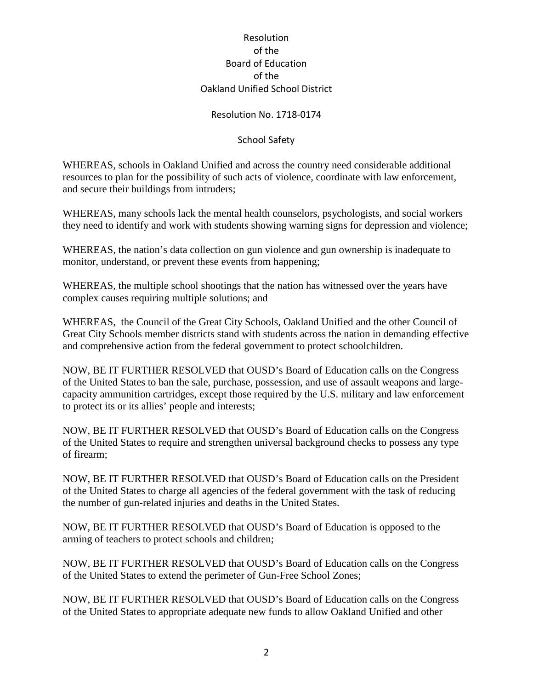## Resolution No. 1718-0174

## School Safety

WHEREAS, schools in Oakland Unified and across the country need considerable additional resources to plan for the possibility of such acts of violence, coordinate with law enforcement, and secure their buildings from intruders;

WHEREAS, many schools lack the mental health counselors, psychologists, and social workers they need to identify and work with students showing warning signs for depression and violence;

WHEREAS, the nation's data collection on gun violence and gun ownership is inadequate to monitor, understand, or prevent these events from happening;

WHEREAS, the multiple school shootings that the nation has witnessed over the years have complex causes requiring multiple solutions; and

WHEREAS, the Council of the Great City Schools, Oakland Unified and the other Council of Great City Schools member districts stand with students across the nation in demanding effective and comprehensive action from the federal government to protect schoolchildren.

NOW, BE IT FURTHER RESOLVED that OUSD's Board of Education calls on the Congress of the United States to ban the sale, purchase, possession, and use of assault weapons and largecapacity ammunition cartridges, except those required by the U.S. military and law enforcement to protect its or its allies' people and interests;

NOW, BE IT FURTHER RESOLVED that OUSD's Board of Education calls on the Congress of the United States to require and strengthen universal background checks to possess any type of firearm;

NOW, BE IT FURTHER RESOLVED that OUSD's Board of Education calls on the President of the United States to charge all agencies of the federal government with the task of reducing the number of gun-related injuries and deaths in the United States.

NOW, BE IT FURTHER RESOLVED that OUSD's Board of Education is opposed to the arming of teachers to protect schools and children;

NOW, BE IT FURTHER RESOLVED that OUSD's Board of Education calls on the Congress of the United States to extend the perimeter of Gun-Free School Zones;

NOW, BE IT FURTHER RESOLVED that OUSD's Board of Education calls on the Congress of the United States to appropriate adequate new funds to allow Oakland Unified and other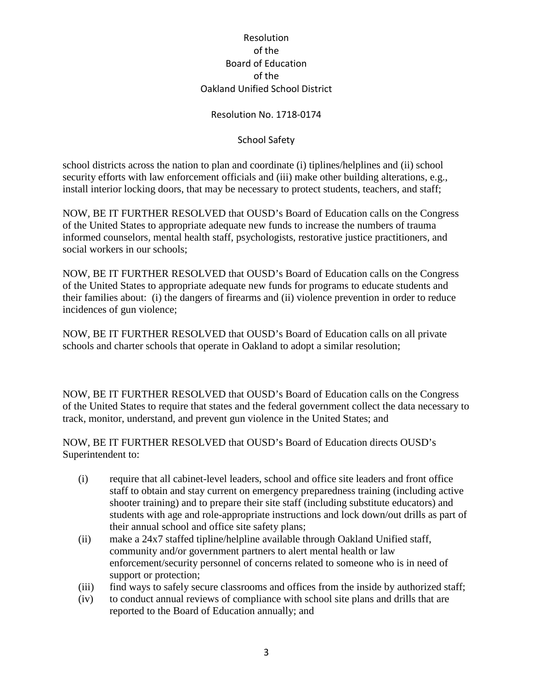## Resolution No. 1718-0174

## School Safety

school districts across the nation to plan and coordinate (i) tiplines/helplines and (ii) school security efforts with law enforcement officials and (iii) make other building alterations, e.g., install interior locking doors, that may be necessary to protect students, teachers, and staff;

NOW, BE IT FURTHER RESOLVED that OUSD's Board of Education calls on the Congress of the United States to appropriate adequate new funds to increase the numbers of trauma informed counselors, mental health staff, psychologists, restorative justice practitioners, and social workers in our schools;

NOW, BE IT FURTHER RESOLVED that OUSD's Board of Education calls on the Congress of the United States to appropriate adequate new funds for programs to educate students and their families about: (i) the dangers of firearms and (ii) violence prevention in order to reduce incidences of gun violence;

NOW, BE IT FURTHER RESOLVED that OUSD's Board of Education calls on all private schools and charter schools that operate in Oakland to adopt a similar resolution;

NOW, BE IT FURTHER RESOLVED that OUSD's Board of Education calls on the Congress of the United States to require that states and the federal government collect the data necessary to track, monitor, understand, and prevent gun violence in the United States; and

NOW, BE IT FURTHER RESOLVED that OUSD's Board of Education directs OUSD's Superintendent to:

- (i) require that all cabinet-level leaders, school and office site leaders and front office staff to obtain and stay current on emergency preparedness training (including active shooter training) and to prepare their site staff (including substitute educators) and students with age and role-appropriate instructions and lock down/out drills as part of their annual school and office site safety plans;
- (ii) make a 24x7 staffed tipline/helpline available through Oakland Unified staff, community and/or government partners to alert mental health or law enforcement/security personnel of concerns related to someone who is in need of support or protection;
- (iii) find ways to safely secure classrooms and offices from the inside by authorized staff;
- (iv) to conduct annual reviews of compliance with school site plans and drills that are reported to the Board of Education annually; and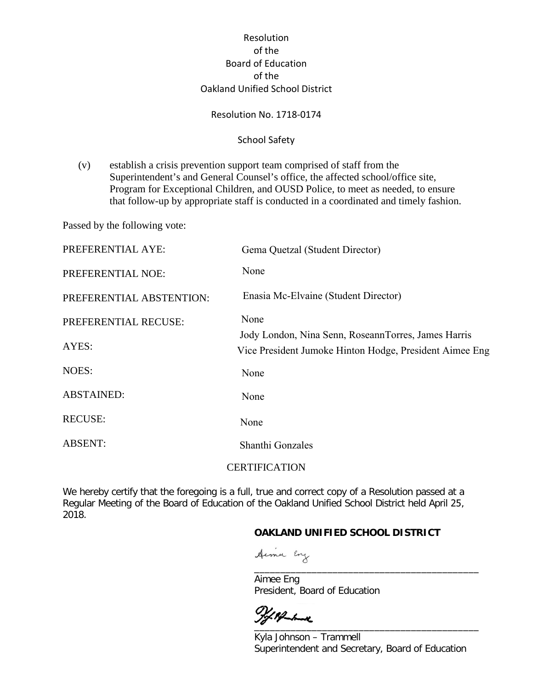#### Resolution No. 1718-0174

### School Safety

(v) establish a crisis prevention support team comprised of staff from the Superintendent's and General Counsel's office, the affected school/office site, Program for Exceptional Children, and OUSD Police, to meet as needed, to ensure that follow-up by appropriate staff is conducted in a coordinated and timely fashion.

Passed by the following vote:

| PREFERENTIAL AYE:        | Gema Quetzal (Student Director)                         |
|--------------------------|---------------------------------------------------------|
| PREFERENTIAL NOE:        | None                                                    |
| PREFERENTIAL ABSTENTION: | Enasia Mc-Elvaine (Student Director)                    |
| PREFERENTIAL RECUSE:     | None                                                    |
| AYES:                    | Jody London, Nina Senn, RoseannTorres, James Harris     |
|                          | Vice President Jumoke Hinton Hodge, President Aimee Eng |
| NOES:                    | None                                                    |
| <b>ABSTAINED:</b>        | None                                                    |
| <b>RECUSE:</b>           | None                                                    |
| <b>ABSENT:</b>           | Shanthi Gonzales                                        |
|                          | <b>CERTIFICATION</b>                                    |

We hereby certify that the foregoing is a full, true and correct copy of a Resolution passed at a Regular Meeting of the Board of Education of the Oakland Unified School District held April 25, 2018.

## **OAKLAND UNIFIED SCHOOL DISTRICT**

Aime Eng

Aimee Eng President, Board of Education

 $\overline{\phantom{a}}$ 

4 Superintendent and Secretary, Board of Education Kyla Johnson – Trammell

\_\_\_\_\_\_\_\_\_\_\_\_\_\_\_\_\_\_\_\_\_\_\_\_\_\_\_\_\_\_\_\_\_\_\_\_\_\_\_\_\_\_\_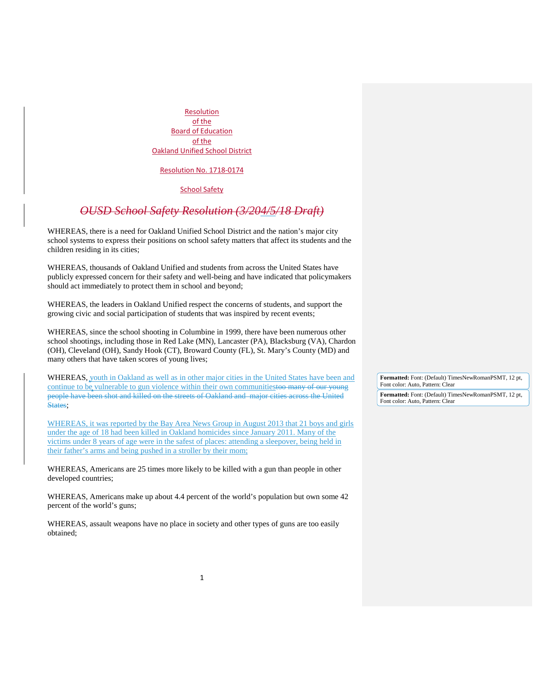Resolution No. 1718-0174

**School Safety** 

## *OUSD School Safety Resolution (3/204/5/18 Draft)*

WHEREAS, there is a need for Oakland Unified School District and the nation's major city school systems to express their positions on school safety matters that affect its students and the children residing in its cities;

WHEREAS, thousands of Oakland Unified and students from across the United States have publicly expressed concern for their safety and well-being and have indicated that policymakers should act immediately to protect them in school and beyond;

WHEREAS, the leaders in Oakland Unified respect the concerns of students, and support the growing civic and social participation of students that was inspired by recent events;

WHEREAS, since the school shooting in Columbine in 1999, there have been numerous other school shootings, including those in Red Lake (MN), Lancaster (PA), Blacksburg (VA), Chardon (OH), Cleveland (OH), Sandy Hook (CT), Broward County (FL), St. Mary's County (MD) and many others that have taken scores of young lives;

WHEREAS, youth in Oakland as well as in other major cities in the United States have been and continue to be vulnerable to gun violence within their own communitiestoo many of our young people have been shot and killed on the streets of Oakland and major cities across the United States:

WHEREAS, it was reported by the Bay Area News Group in August 2013 that 21 boys and girls under the age of 18 had been killed in Oakland homicides since January 2011. Many of the victims under 8 years of age were in the safest of places: attending a sleepover, being held in their father's arms and being pushed in a stroller by their mom;

WHEREAS, Americans are 25 times more likely to be killed with a gun than people in other developed countries;

WHEREAS, Americans make up about 4.4 percent of the world's population but own some 42 percent of the world's guns;

WHEREAS, assault weapons have no place in society and other types of guns are too easily obtained;

**Formatted:** Font: (Default) TimesNewRomanPSMT, 12 pt, Font color: Auto, Pattern: Clear

**Formatted:** Font: (Default) TimesNewRomanPSMT, 12 pt, Font color: Auto, Pattern: Clear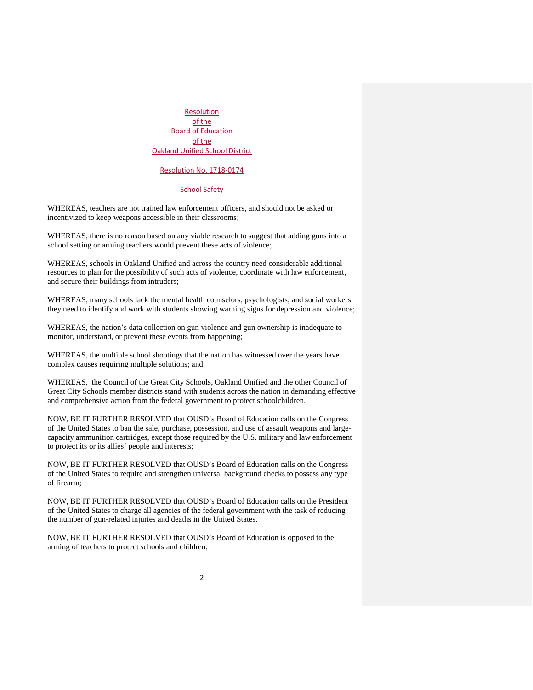Resolution No. 1718-0174

#### **School Safety**

WHEREAS, teachers are not trained law enforcement officers, and should not be asked or incentivized to keep weapons accessible in their classrooms;

WHEREAS, there is no reason based on any viable research to suggest that adding guns into a school setting or arming teachers would prevent these acts of violence;

WHEREAS, schools in Oakland Unified and across the country need considerable additional resources to plan for the possibility of such acts of violence, coordinate with law enforcement, and secure their buildings from intruders;

WHEREAS, many schools lack the mental health counselors, psychologists, and social workers they need to identify and work with students showing warning signs for depression and violence;

WHEREAS, the nation's data collection on gun violence and gun ownership is inadequate to monitor, understand, or prevent these events from happening;

WHEREAS, the multiple school shootings that the nation has witnessed over the years have complex causes requiring multiple solutions; and

WHEREAS, the Council of the Great City Schools, Oakland Unified and the other Council of Great City Schools member districts stand with students across the nation in demanding effective and comprehensive action from the federal government to protect schoolchildren.

NOW, BE IT FURTHER RESOLVED that OUSD's Board of Education calls on the Congress of the United States to ban the sale, purchase, possession, and use of assault weapons and largecapacity ammunition cartridges, except those required by the U.S. military and law enforcement to protect its or its allies' people and interests;

NOW, BE IT FURTHER RESOLVED that OUSD's Board of Education calls on the Congress of the United States to require and strengthen universal background checks to possess any type of firearm;

NOW, BE IT FURTHER RESOLVED that OUSD's Board of Education calls on the President of the United States to charge all agencies of the federal government with the task of reducing the number of gun-related injuries and deaths in the United States.

NOW, BE IT FURTHER RESOLVED that OUSD's Board of Education is opposed to the arming of teachers to protect schools and children;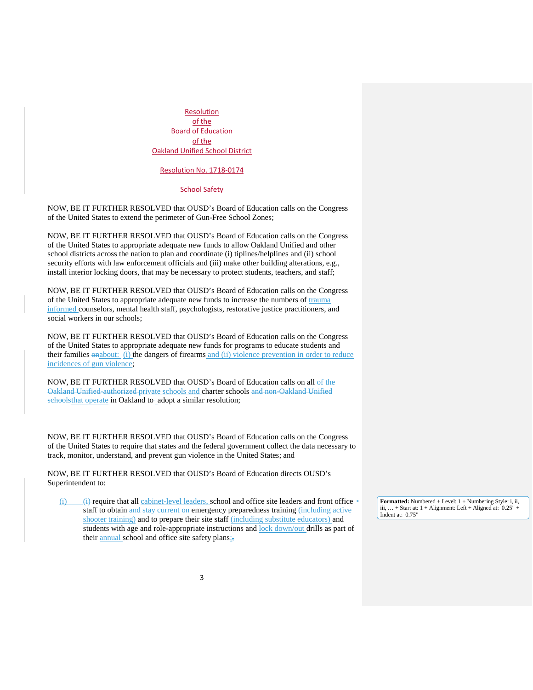Resolution No. 1718-0174

#### **School Safety**

NOW, BE IT FURTHER RESOLVED that OUSD's Board of Education calls on the Congress of the United States to extend the perimeter of Gun-Free School Zones;

NOW, BE IT FURTHER RESOLVED that OUSD's Board of Education calls on the Congress of the United States to appropriate adequate new funds to allow Oakland Unified and other school districts across the nation to plan and coordinate (i) tiplines/helplines and (ii) school security efforts with law enforcement officials and (iii) make other building alterations, e.g., install interior locking doors, that may be necessary to protect students, teachers, and staff;

NOW, BE IT FURTHER RESOLVED that OUSD's Board of Education calls on the Congress of the United States to appropriate adequate new funds to increase the numbers of trauma informed counselors, mental health staff, psychologists, restorative justice practitioners, and social workers in our schools;

NOW, BE IT FURTHER RESOLVED that OUSD's Board of Education calls on the Congress of the United States to appropriate adequate new funds for programs to educate students and their families  $\frac{\partial n}{\partial x}$  (i) the dangers of firearms and (ii) violence prevention in order to reduce incidences of gun violence;

NOW, BE IT FURTHER RESOLVED that OUSD's Board of Education calls on all of the Oakland Unified-authorized private schools and charter schools and non-Oakland Unified schoolsthat operate in Oakland to-adopt a similar resolution;

NOW, BE IT FURTHER RESOLVED that OUSD's Board of Education calls on the Congress of the United States to require that states and the federal government collect the data necessary to track, monitor, understand, and prevent gun violence in the United States; and

NOW, BE IT FURTHER RESOLVED that OUSD's Board of Education directs OUSD's Superintendent to:

 $\leftrightarrow$  require that all cabinet-level leaders, school and office site leaders and front office staff to obtain and stay current on emergency preparedness training (including active shooter training) and to prepare their site staff (including substitute educators) and students with age and role-appropriate instructions and lock down/out drills as part of their annual school and office site safety plans;

**Formatted:** Numbered + Level: 1 + Numbering Style: i, ii, iii, ... + Start at:  $1 +$  Alignment: Left + Aligned at:  $0.25"$ Indent at: 0.75"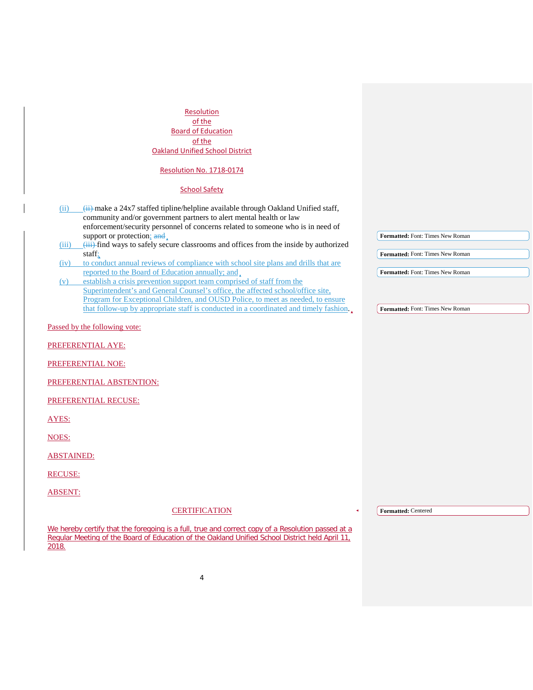| Resolution<br>of the<br><b>Board of Education</b><br>of the                                                                                                                                                                                                                                                                                  |                                         |
|----------------------------------------------------------------------------------------------------------------------------------------------------------------------------------------------------------------------------------------------------------------------------------------------------------------------------------------------|-----------------------------------------|
| <b>Oakland Unified School District</b>                                                                                                                                                                                                                                                                                                       |                                         |
| Resolution No. 1718-0174                                                                                                                                                                                                                                                                                                                     |                                         |
| <b>School Safety</b>                                                                                                                                                                                                                                                                                                                         |                                         |
| $\frac{1}{11}$ make a 24x7 staffed tipline/helpline available through Oakland Unified staff,<br>(i)<br>community and/or government partners to alert mental health or law<br>enforcement/security personnel of concerns related to someone who is in need of                                                                                 |                                         |
| support or protection; and<br>(iii) find ways to safely secure classrooms and offices from the inside by authorized<br>(iii)                                                                                                                                                                                                                 | Formatted: Font: Times New Roman        |
| staff;                                                                                                                                                                                                                                                                                                                                       | <b>Formatted:</b> Font: Times New Roman |
| to conduct annual reviews of compliance with school site plans and drills that are<br>(iv)<br>reported to the Board of Education annually; and                                                                                                                                                                                               | Formatted: Font: Times New Roman        |
| establish a crisis prevention support team comprised of staff from the<br>(v)<br>Superintendent's and General Counsel's office, the affected school/office site,<br>Program for Exceptional Children, and OUSD Police, to meet as needed, to ensure<br>that follow-up by appropriate staff is conducted in a coordinated and timely fashion. | Formatted: Font: Times New Roman        |
| Passed by the following vote:                                                                                                                                                                                                                                                                                                                |                                         |
|                                                                                                                                                                                                                                                                                                                                              |                                         |
| PREFERENTIAL AYE:                                                                                                                                                                                                                                                                                                                            |                                         |
| PREFERENTIAL NOE:                                                                                                                                                                                                                                                                                                                            |                                         |
| PREFERENTIAL ABSTENTION:                                                                                                                                                                                                                                                                                                                     |                                         |
| PREFERENTIAL RECUSE:                                                                                                                                                                                                                                                                                                                         |                                         |
| AYES:                                                                                                                                                                                                                                                                                                                                        |                                         |
| NOES:                                                                                                                                                                                                                                                                                                                                        |                                         |
| <b>ABSTAINED:</b>                                                                                                                                                                                                                                                                                                                            |                                         |
| <b>RECUSE:</b>                                                                                                                                                                                                                                                                                                                               |                                         |
| <b>ABSENT:</b>                                                                                                                                                                                                                                                                                                                               |                                         |
| <b>CERTIFICATION</b>                                                                                                                                                                                                                                                                                                                         | Formatted: Centered                     |
| We hereby certify that the foregoing is a full, true and correct copy of a Resolution passed at a<br>Regular Meeting of the Board of Education of the Oakland Unified School District held April 11,<br>2018.                                                                                                                                |                                         |